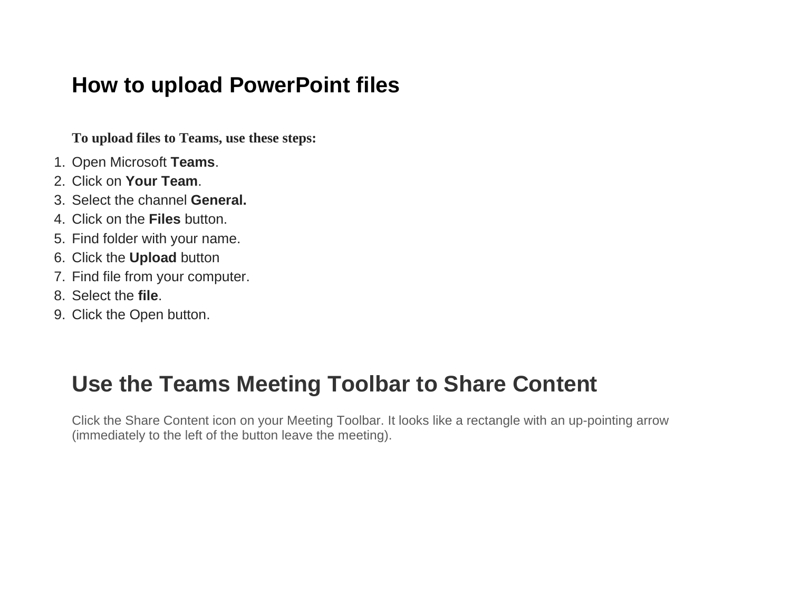### How to upload PowerPoint files

**To upload files to Teams, use these steps:**

- 1. Open Microsoft **Teams**.
- 2. Click on **Your Team**.
- 3. Select the channel **General.**
- 4. Click on the **Files** button.
- 5. Find folder with your name.
- 6. Click the **Upload** button
- 7. Find file from your computer.
- 8. Select the **file**.
- 9. Click the Open button.

## **Use the Teams Meeting Toolbar to Share Content**

Click the Share Content icon on your Meeting Toolbar. It looks like a rectangle with an up-pointing arrow (immediately to the left of the button leave the meeting).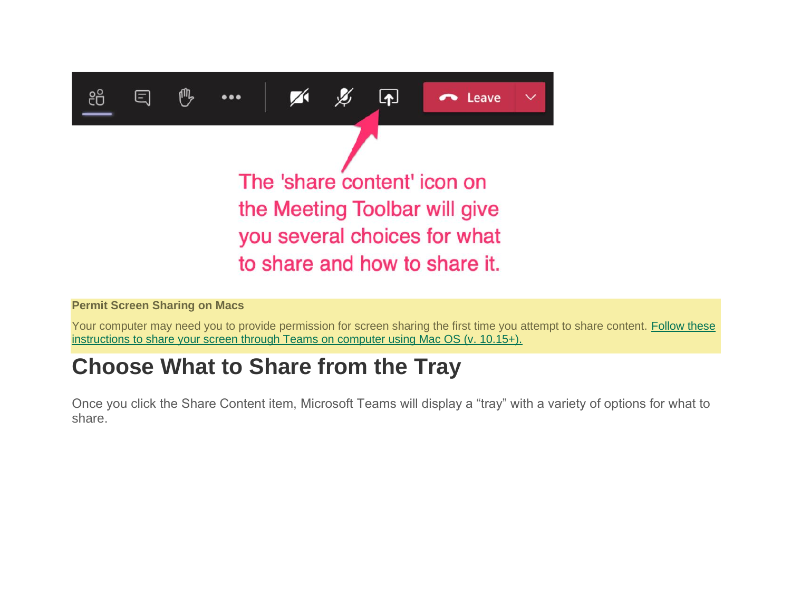

#### **Permit Screen Sharing on Macs**

Your computer may need you to provide permission for screen sharing the first time you attempt to share content. Follow these [instructions to share your screen through Teams on computer using Mac OS \(v. 10.15+\).](https://www.uvm.edu/it/kb/article/macos-allow-screen-sharing/)

## **Choose What to Share from the Tray**

Once you click the Share Content item, Microsoft Teams will display a "tray" with a variety of options for what to share.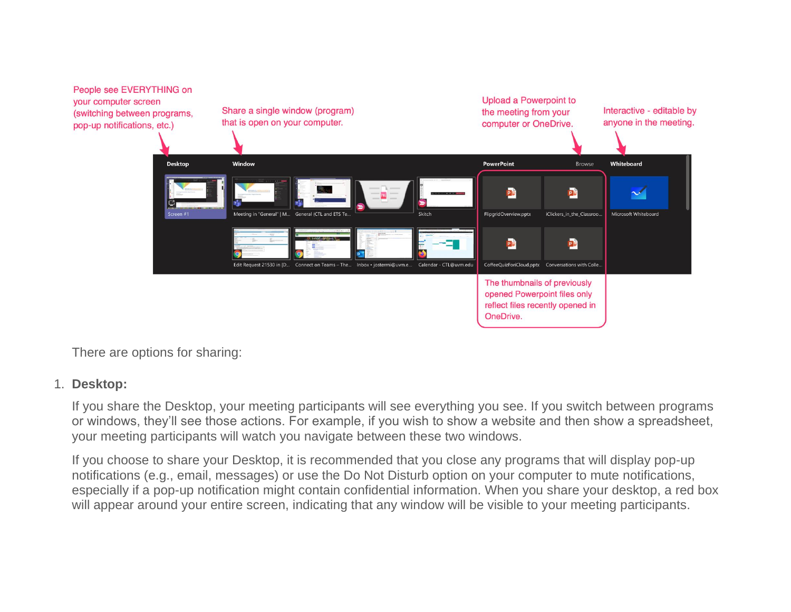

There are options for sharing:

#### 1. **Desktop:**

If you share the Desktop, your meeting participants will see everything you see. If you switch between programs or windows, they'll see those actions. For example, if you wish to show a website and then show a spreadsheet, your meeting participants will watch you navigate between these two windows.

If you choose to share your Desktop, it is recommended that you close any programs that will display pop-up notifications (e.g., email, messages) or use the Do Not Disturb option on your computer to mute notifications, especially if a pop-up notification might contain confidential information. When you share your desktop, a red box will appear around your entire screen, indicating that any window will be visible to your meeting participants.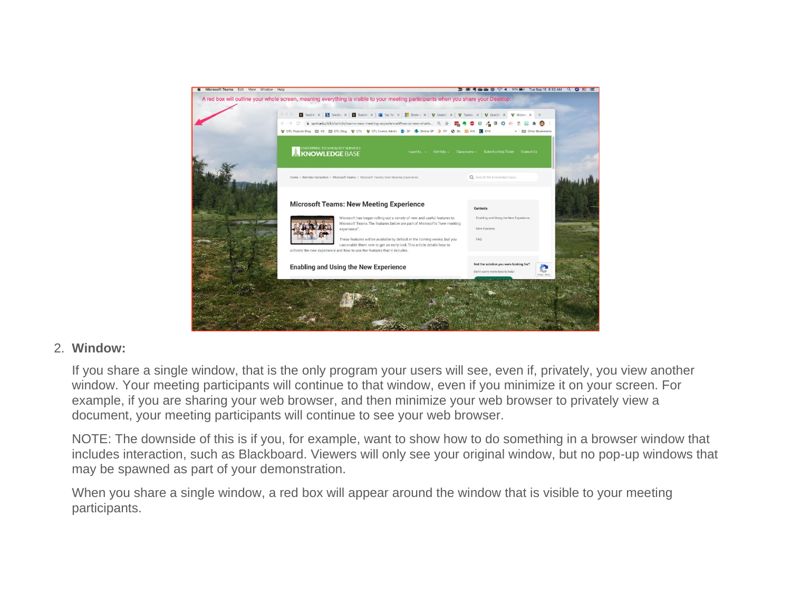

### 2. **Window:**

If you share a single window, that is the only program your users will see, even if, privately, you view another window. Your meeting participants will continue to that window, even if you minimize it on your screen. For example, if you are sharing your web browser, and then minimize your web browser to privately view a document, your meeting participants will continue to see your web browser.

NOTE: The downside of this is if you, for example, want to show how to do something in a browser window that includes interaction, such as Blackboard. Viewers will only see your original window, but no pop-up windows that may be spawned as part of your demonstration.

When you share a single window, a red box will appear around the window that is visible to your meeting participants.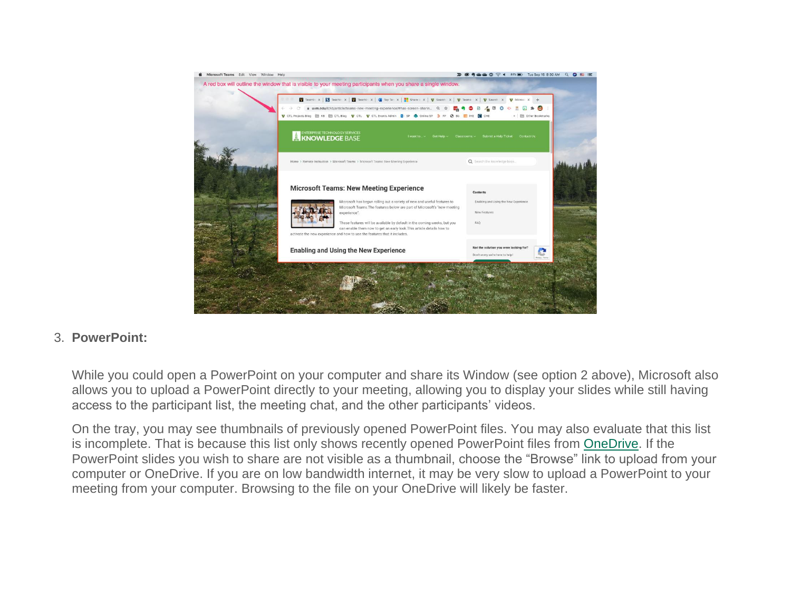

### 3. **PowerPoint:**

While you could open a PowerPoint on your computer and share its Window (see option 2 above), Microsoft also allows you to upload a PowerPoint directly to your meeting, allowing you to display your slides while still having access to the participant list, the meeting chat, and the other participants' videos.

On the tray, you may see thumbnails of previously opened PowerPoint files. You may also evaluate that this list is incomplete. That is because this list only shows recently opened PowerPoint files from [OneDrive.](https://www.uvm.edu/it/kb/article/onedrive/) If the PowerPoint slides you wish to share are not visible as a thumbnail, choose the "Browse" link to upload from your computer or OneDrive. If you are on low bandwidth internet, it may be very slow to upload a PowerPoint to your meeting from your computer. Browsing to the file on your OneDrive will likely be faster.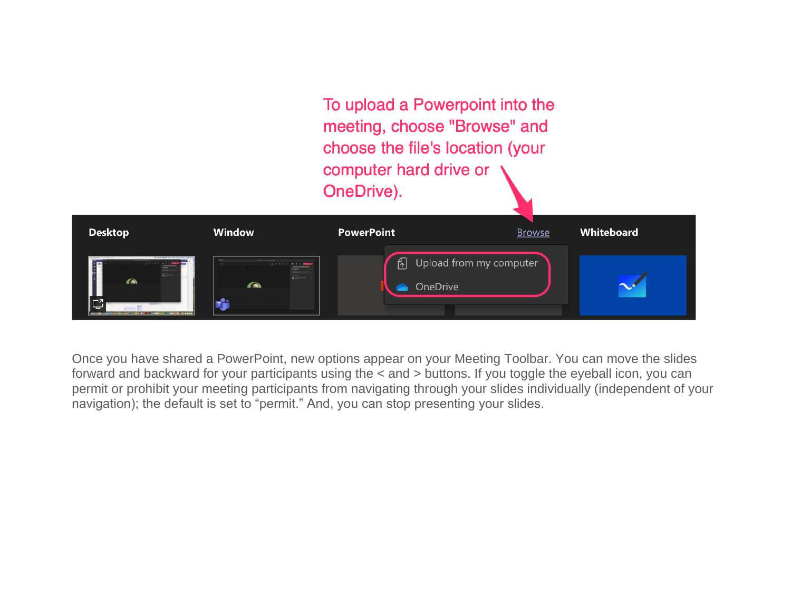To upload a Powerpoint into the meeting, choose "Browse" and choose the file's location (your computer hard drive or OneDrive).



Once you have shared a PowerPoint, new options appear on your Meeting Toolbar. You can move the slides forward and backward for your participants using the < and > buttons. If you toggle the eyeball icon, you can permit or prohibit your meeting participants from navigating through your slides individually (independent of your navigation); the default is set to "permit." And, you can stop presenting your slides.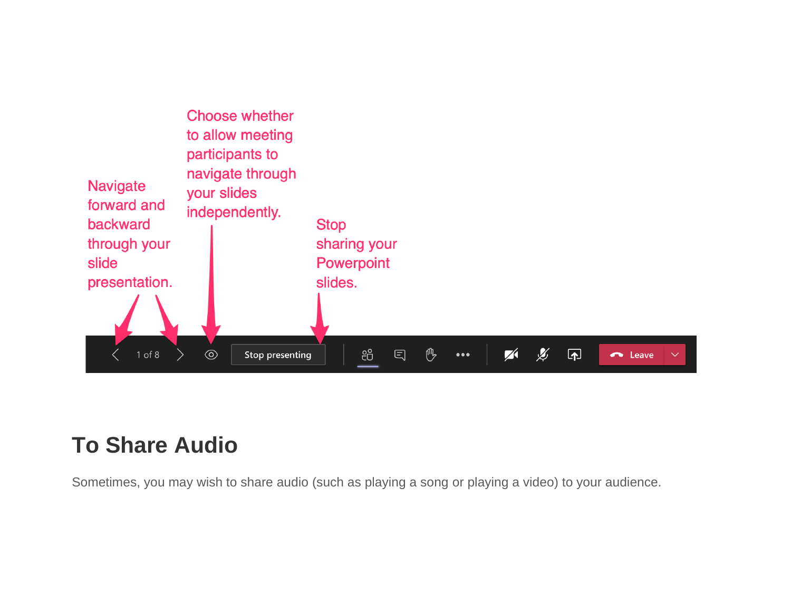

# **To Share Audio**

Sometimes, you may wish to share audio (such as playing a song or playing a video) to your audience.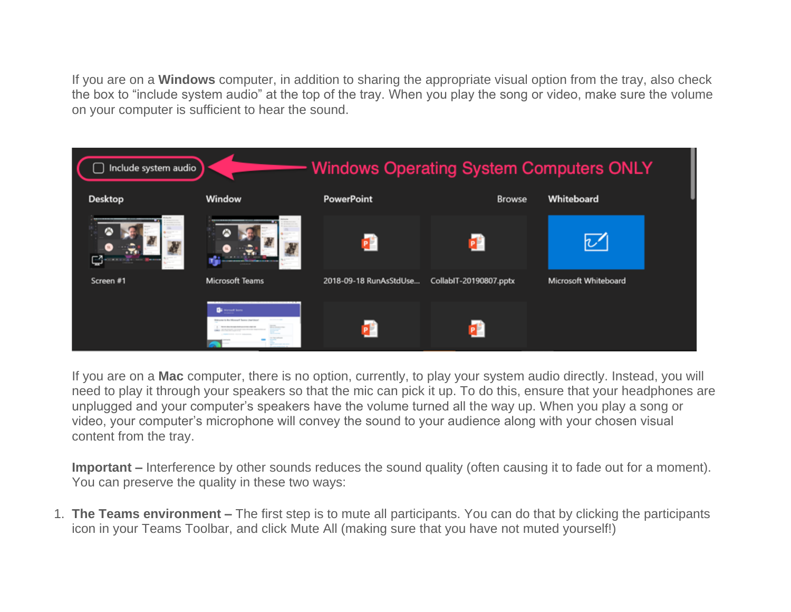If you are on a **Windows** computer, in addition to sharing the appropriate visual option from the tray, also check the box to "include system audio" at the top of the tray. When you play the song or video, make sure the volume on your computer is sufficient to hear the sound.

| <b>Windows Operating System Computers ONLY</b><br>Include system audio |                                                                     |                        |                        |                      |  |
|------------------------------------------------------------------------|---------------------------------------------------------------------|------------------------|------------------------|----------------------|--|
| <b>Desktop</b>                                                         | Window                                                              | <b>PowerPoint</b>      | <b>Browse</b>          | Whiteboard           |  |
|                                                                        |                                                                     |                        |                        | び                    |  |
| Screen #1                                                              | <b>Microsoft Teams</b>                                              | 2018-09-18 RunAsStdUse | CollabIT-20190807.pptx | Microsoft Whiteboard |  |
|                                                                        | <b>Ca</b> Motority home<br>Britanne is the Microsoft Teams UnerView |                        |                        |                      |  |

If you are on a **Mac** computer, there is no option, currently, to play your system audio directly. Instead, you will need to play it through your speakers so that the mic can pick it up. To do this, ensure that your headphones are unplugged and your computer's speakers have the volume turned all the way up. When you play a song or video, your computer's microphone will convey the sound to your audience along with your chosen visual content from the tray.

**Important –** Interference by other sounds reduces the sound quality (often causing it to fade out for a moment). You can preserve the quality in these two ways:

1. **The Teams environment –** The first step is to mute all participants. You can do that by clicking the participants icon in your Teams Toolbar, and click Mute All (making sure that you have not muted yourself!)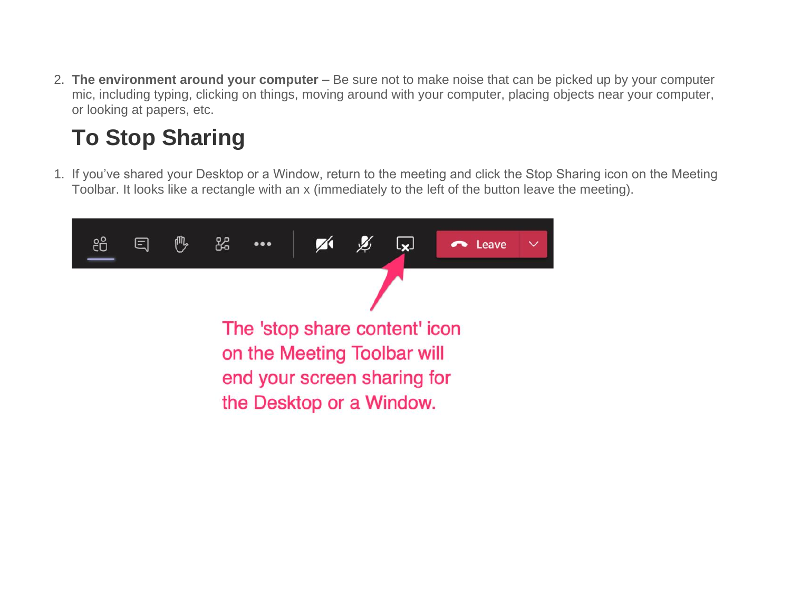2. **The environment around your computer –** Be sure not to make noise that can be picked up by your computer mic, including typing, clicking on things, moving around with your computer, placing objects near your computer, or looking at papers, etc.

# **To Stop Sharing**

1. If you've shared your Desktop or a Window, return to the meeting and click the Stop Sharing icon on the Meeting Toolbar. It looks like a rectangle with an x (immediately to the left of the button leave the meeting).